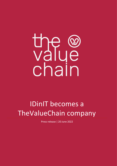# the conduction

# IDinIT becomes a TheValueChain company

Press release | 20 June 2022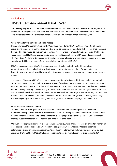

# **Nederlands TheValueChain neemt IDinIT over**

*Amersfoort, 20 juni 2022 – TheValueChain Nederland en IDinIT bundelen hun krachten. Vanaf 16 juni 2022 maakt de 's-Hertogenbosche SAP-dienstverlener deel uit van TheValueChain. Daarmee haalt TheValueChain 20 extra collega's in huis. Beide organisaties kenmerken zich door een pragmatische aanpak.*

### **Groei versnellen via een buy-and-build strategie**

Michel Martens, Managing Partner bij TheValueChain Nederland: "TheValueChain timmert als Beneluxgroep stevig aan de weg. Eén van onze ambities is om de business in Nederland flink te laten groeien via een buy-and-build strategie. Zo kwamen we in contact met Jos Snapper en Joachim van Essen van IDinIT en er was meteen een klik. Onze organisaties zijn goed vergelijkbaar, net als ons DNA. Vanaf dag één staan bij TheValueChain Nederland de mensen centraal. Wij geven ze alle ruimte om zelfstandig keuzes te maken en verantwoordelijkheid te nemen. Deze mentaliteit zien we terug bij IDinIT."

IDinIT, een gerenommeerd SAP-adviesbureau, opereert op het snijvlak van bedrijfskundig en automatiseringsadvies en bedient zowel nationale als internationale bedrijven. De kwalitatieve en kwantitatieve groei van de voorbije jaren wil het verderzetten door nieuwe klanten en medewerkers aan te trekken.

Jos Snapper, Directeur bij IDinIT en vanaf nu ook mede-Managing Partner bij TheValueChain Nederland: "IDinIT staat bekend om zijn ambitie, pragmatisme en flexibiliteit. We investeren in kennisontwikkeling en persoonlijke groei van onze consultants. 17 jaar na onze opstart staan onze naam en onze diensten stevig in de markt. De tijd was rijp om versterking te zoeken. TheValueChain was voor ons de logische keuze. Zij staan aan de top in hun vak en qua cultuur passen we perfect bij elkaar: menselijk, ambitieus en altijd op zoek naar meerwaarde voor de klant. TheValueChain Nederland kan bovendien terugvallen op de Belgische collega's, die op tien jaar tijd enorm veel ervaring hebben opgebouwd in ERP- en CX- projectimplementaties."

### **Een succesvolle toekomst samen**

TheValueChain en IDinIT geloven in een succesvolle toekomst samen vanuit passie, teamspirit en ondernemerschap. Michel Martens: "De overname van IDinIT draagt bij aan de ambitie van TheValueChain Benelux. Door onze krachten te bundelen zetten we onze proposities kracht bij. Samen kunnen we meer mooie projecten realiseren. Daar hebben ook onze consultants baat bij."

Ook IDinIT kijkt optimistisch vooruit: "Samen kunnen we nieuwe en grotere klanten en projecten winnen en onze positie en bekendheid in de SAP-wereld verstevigen", zegt Jos Snapper. "Met alle expertise, referenties, kennis- en ontwikkelprogramma's en ideeën versterken we de kwalitatieve en kwantitatieve groei van TheValueChain. Met extra kansen, opportuniteiten en werkplezier voor onze consultants."



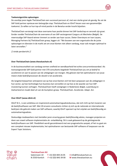

### **Toekomstgerichte oplossingen**

De voorbije jaren legde TheValueChain een succesvol parcours af, met een sterke groei als gevolg. Nu zet de SAP Gold partner opnieuw een belangrijke stap: TheValueChain en IDinIT kiezen voor een gezamenlijke toekomst. Zo willen ze hun top-of-mind positie in de Benelux verder kracht bijzetten.

TheValueChain verstevigt met deze overname haar positie binnen het SAP-landschap en versnelt zijn groei. Eerder rondde TheValueChain de overname af van SAP-sectorgenoot Canguru uit Mechelen (België). De meervoudige SAP Award winner timmert zo verder aan haar succes. Dieter Oversteyns en Ivan Leysen, Managing Partners bij TheValueChain groep, leggen uit: "We bouwen aan een organisatie die de juiste oplossingen en diensten in de markt zet om onze klanten niet alleen vandaag, maar ook morgen optimaal te laten versnellen."

// einde persbericht //

### **Over TheValueChain (www.thevaluechain.nl)**

In de businessrealiteit van vandaag vormen snelheid en wendbaarheid het echte concurrentievoordeel. Als toonaangevende SAP Gold partner met 370 consultants begeleidt TheValueChain jou om je bedrijf te accelereren en aan te passen aan de uitdagingen van morgen. Wij geloven dat het optimaliseren van jouw meest vitale bedrijfsprocessen de sleutel is tot acceleratie.

Als langetermijnpartner anticiperen we op hoe onze klanten zich het best aanpassen aan de uitdagingen in hun sector, op hoe technologie hun business kan versnellen en op hoe ze de waarde van hun SAPinvestering kunnen verhogen. TheValueChain heeft vestigingen in Nederland, België, Luxemburg en Zwitserland en maakt deel uit van de Gumption-groep. TheValueChain. Accelerate. Adapt. Act.

### **Over IDinIT (www.idinit.nl)**

IDinIT B.V., is een ambitieus en inspirerend automatiseringsadviesbureau, dat zich richt op het invoeren van de bedrijfssoftware van SAP. Met 20 ervaren consultants richten zij zich op de nationale en internationale bedrijven die gebruik maken van SAP-software, waarbij IDinIT opereert op het snijvlak van bedrijfskundig en automatiseringsadvies.

Deskundige medewerkers met tientallen jaren ervaring geven bedrijfskundig advies, managen projecten en doen aan zowel software-implementatie als -ontwikkeling. Dit is vaak gebaseerd op de geïntegreerde bedrijfssoftware van SAP. Flexibiliteit wordt gecombineerd met een pragmatische aanpak, of het nu gaat om een compleet nieuwe implementatie, het optimaliseren van bestaande SAP-software of toepassen van de Expert Topic Solutions.

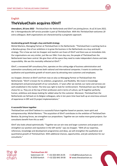

# English **TheValueChain acquires IDinIT**

*Amersfoort, 20 June 2022 - TheValueChain the Netherlands and IDinIT are joining forces. As of 16 June 2022, the 's-Hertogenbosche SAP service provider is part of TheValueChain. With this TheValueChain welcomes 20 extra colleagues. Both organisations are characterised by a pragmatic approach.*

### **Accelerating growth through a buy-and-build strategy**

Michel Martens, Managing Partner at TheValueChain in the Netherlands: "TheValueChain is working hard as a Benelux-group. One of our ambitions is to grow the business in the Netherlands via a buy-and-build strategy. This is how we met Jos Snapper and Joachim van Essen of IDinIT and there was an immediate click. Our organisations are very similar, just like our DNA. From day one, the people of TheValueChain the Netherlands have been central. We give them all the space they need to make independent choices and take responsibility. We see this mentality reflected at IDinIT."

IDinIT, a renowned SAP consultancy firm, operates on the cutting edge of business administration and automation consultancy and serves both national and international companies. It wants to continue the qualitative and quantitative growth of recent years by attracting new customers and employees.

Jos Snapper, Director at IDinIT and from now on also co-Managing Partner at TheValueChain the Netherlands: "IDinIT is known for its ambition, pragmatism, and flexibility. We invest in knowledge development and personal growth of our consultants. 17 years after we started, our name and services are well established in the market. The time was right to look for reinforcement. TheValueChain was the logical choice for us. They are at the top of their profession and in terms of culture, we fit together perfectly: human, ambitious and always looking for added value for the customer. Moreover, TheValueChain the Netherlands can fall back on its Belgian colleagues, who in ten years time have built up an enormous amount of experience in ERP and CX project implementations."

### **A successful future together**

TheValueChain and IDinIT believe in a successful future together based on passion, team spirit and entrepreneurship. Michel Martens: "The acquisition of IDinIT contributes to the ambition of TheValueChain Benelux. By joining forces, we strengthen our propositions. Together we can realise more great projects. Our consultants benefit from this as well."

IDinIT also looks ahead optimistically: "Together we can win new and larger customers and projects and strengthen our position and reputation in the SAP world," says Jos Snapper. "With all our expertise, references, knowledge and development programmes and ideas, we will strengthen the qualitative and quantitative growth of TheValueChain. With additional chances, opportunities, and job satisfaction for our consultants."



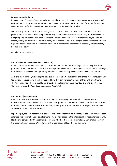

### **Future-oriented solutions**

In recent years, TheValueChain has had a successful track record, resulting in strong growth. Now the SAP Gold Partner is taking another important step: TheValueChain and IDinIT are opting for a joint future. This way they want to further strengthen their top-of-mind position in the Benelux.

With this acquisition TheValueChain strengthens its position within the SAP landscape and accelerates its growth. Earlier TheValueChain completed the acquisition of SAP-sector associate Canguru from Mechelen (Belgium). The multiple SAP Award winner continues to build on its success. Dieter Oversteyns and Ivan Leysen, Managing Partners at TheValueChain group, explain: "We are building an organisation that puts the right solutions and services in the market to enable our customers to accelerate optimally not only today, but also tomorrow."

// end of press release //

### **About TheValueChain (www.thevaluechain.nl)**

In today's business reality, speed and agility are the real competitive advantages. As a leading SAP Gold partner with 370 consultants, TheValueChain helps you accelerate and adapt your business to the challenges of tomorrow. We believe that optimising your most vital business processes is the key to acceleration.

As a long-term partner, we anticipate how our clients can best adapt to the challenges in their industry, how technology can accelerate their business and how they can increase the value of their SAP investment. TheValueChain has offices in the Netherlands, Belgium, Luxembourg, and Switzerland and is part of the Gumption Group. TheValueChain. Accelerate. Adapt. Act.

### **About IDinIT (www.idinit.nl)**

IDinIT B.V., is an ambitious and inspiring automation consultancy company, which focuses on the implementation of SAP business software. With 20 experienced consultants, they focus on the national and international companies that use SAP software, whereby IDinIT operates on the cutting edge of business administration and automation advice.

Expert employees with decades of experience provide business advice, manage projects, and carry out both software implementation and development. This is often based on the integrated business software of SAP. Flexibility is combined with a pragmatic approach, whether it concerns a completely new implementation, the optimisation of existing SAP software or the application of Expert Topic Solutions.



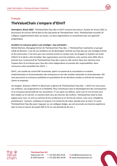

## Français

# **TheValueChain s'empare d'IDinIT**

*Amersfoort, 20 juin 2022 - TheValueChain Pays-Bas et IDinIT unissent leurs forces. À partir du 16 juin 2022, le fournisseur de services SAP de Bois-le-Duc fait partie de TheValueChain. Ainsi, TheValueChain accueille 20 collègues supplémentaires dans ses locaux. Les deux organisations se caractérisent par une approche pragmatique.*

### **Accélérer la croissance grâce à une stratégie « buy-and-build »**

Michel Martens, Managing Partner de TheValueChain Pays-Bas : « TheValueChain représente un groupe solide du Benelux. L'une de nos ambitions est de développer l'activité aux Pays-Bas par une stratégie d'achat et de construction. C'est ainsi que nous sommes entrés en contact avec Jos Snapper et Joachim van Essen d'IDinIT et le déclic a été immédiat. Nos organisations sont très similaires, tout comme notre ADN. Dès le premier jour, le personnel de TheValueChain Pays-Bas a joué un rôle central. Nous leur donnons tout l'espace dont ils ont besoin pour faire des choix indépendants et prendre des responsabilités. Nous retrouvons cette mentalité chez IDinIT. »

IDinIT, une société de conseil SAP renommée, opère à la pointe de la consultation en matière d'administration et d'automatisation des entreprises et sert des sociétés nationales et internationales. Elle veut poursuivre la croissance qualitative et quantitative de ces dernières années en attirant de nouveaux clients et employés.

Jos Snapper, directeur d'IDinIT et désormais co-gérant de TheValueChain Pays-Bas : « IDinIT est connu pour son ambition, son pragmatisme et sa flexibilité. Nous investissons dans le développement des connaissances et la croissance personnelle de nos consultants. 17 ans après nos débuts, notre nom et nos services sont bien établis sur le marché. Le moment était venu de chercher des renforts. TheValueChain était le choix logique pour nous. Ils sont au sommet de leur profession et en termes de culture, nous nous complétons parfaitement : humains, ambitieux et toujours à la recherche de valeur ajoutée pour le client. En outre, TheValueChain Pays-Bas peut s'appuyer sur ses collègues belges, qui ont accumulé une énorme expérience dans la mise en œuvre de projets ERP et CX sur une période de dix ans. »



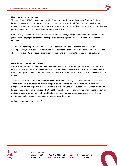

### **Un avenir fructueux ensemble**

TheValueChain et IDinIT croient en un avenir réussi ensemble, fondé sur la passion, l'esprit d'équipe et l'esprit d'entreprise. Michel Martens : « L'acquisition d'IDinIT contribue à l'ambition de TheValueChain Benelux. En unissant nos forces, nous renforçons nos propositions. Ensemble, nous pouvons réaliser d'autres grands projets. Nos consultants en bénéficient également. »

IDinIT envisage également l'avenir avec optimisme : « Ensemble, nous pouvons gagner de nouveaux et plus grands clients et projets et renforcer notre position et notre réputation dans le monde SAP », déclare Jos Snapper.

« Avec toute notre expertise, nos références, nos connaissances et nos programmes et idées de développement, nous allons renforcer la croissance qualitative et quantitative de TheValueChain. Avec des chances, des opportunités et une satisfaction professionnelle supplémentaires pour nos consultants. »

### **Des solutions orientées vers l'avenir**

Au cours des dernières années, TheValueChain a connu un parcours réussi, qui s'est traduit par une forte croissance. Aujourd'hui, le partenaire SAP Gold franchit une nouvelle étape importante : TheValueChain et IDinIT optent pour un avenir commun. De cette manière, ils veulent renforcer leur position de leader dans le Benelux.

Avec cette acquisition, TheValueChain renforce sa position dans le paysage SAP et accélère sa croissance. Auparavant, TheValueChain avait finalisé l'acquisition de Canguru, associé au secteur SAP, à Malines (Belgique). Le lauréat de plusieurs prix SAP continue de s'appuyer sur son succès. Dieter Oversteyns et Ivan Leysen, associés directeurs du groupe TheValueChain, expliquent : « Nous construisons une organisation qui met sur le marché les bonnes solutions et les bons services pour permettre à nos clients d'accélérer de manière optimale non seulement aujourd'hui, mais aussi demain. »

// fin du communiqué de presse //